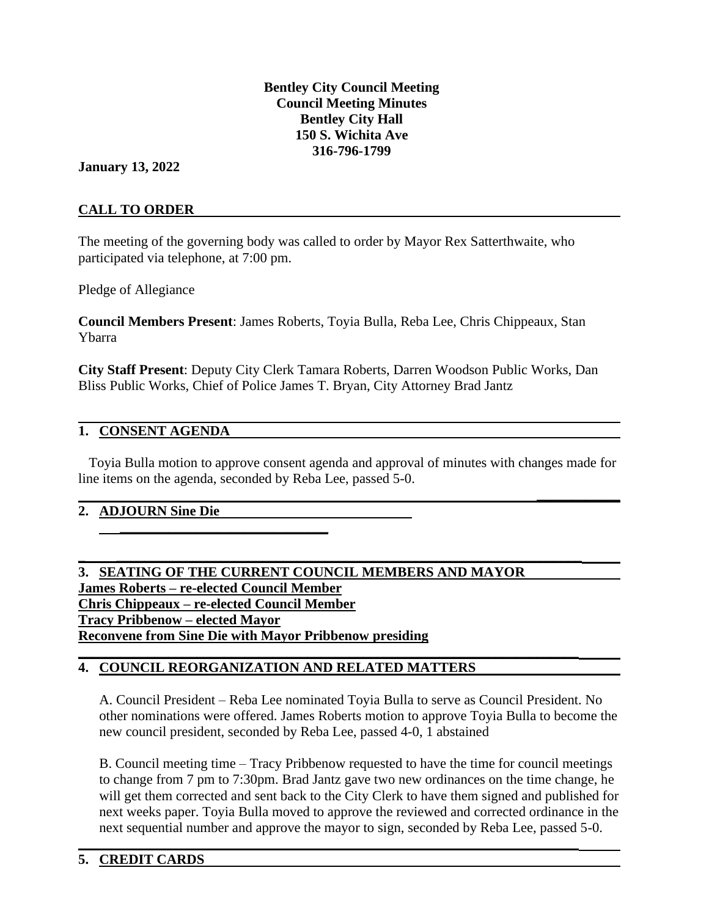**Bentley City Council Meeting Council Meeting Minutes Bentley City Hall 150 S. Wichita Ave 316-796-1799**

## **January 13, 2022**

## **CALL TO ORDER**

The meeting of the governing body was called to order by Mayor Rex Satterthwaite, who participated via telephone, at 7:00 pm.

Pledge of Allegiance

**Council Members Present**: James Roberts, Toyia Bulla, Reba Lee, Chris Chippeaux, Stan Ybarra

**City Staff Present**: Deputy City Clerk Tamara Roberts, Darren Woodson Public Works, Dan Bliss Public Works, Chief of Police James T. Bryan, City Attorney Brad Jantz

### **1. CONSENT AGENDA**

 Toyia Bulla motion to approve consent agenda and approval of minutes with changes made for line items on the agenda, seconded by Reba Lee, passed 5-0.

 $\mathcal{L}_\mathcal{L} = \mathcal{L}_\mathcal{L} - \mathcal{L}_\mathcal{L}$  , where  $\mathcal{L}_\mathcal{L} = \mathcal{L}_\mathcal{L}$  ,  $\mathcal{L}_\mathcal{L} = \mathcal{L}_\mathcal{L}$  ,  $\mathcal{L}_\mathcal{L} = \mathcal{L}_\mathcal{L}$  ,  $\mathcal{L}_\mathcal{L} = \mathcal{L}_\mathcal{L}$ 

**\_\_\_\_\_\_\_\_\_\_\_\_**

## **2. ADJOURN Sine Die**

**\_\_\_\_\_\_\_\_\_\_\_\_\_\_\_\_\_\_\_\_\_\_\_\_\_\_\_\_\_\_**

**3. SEATING OF THE CURRENT COUNCIL MEMBERS AND MAYOR James Roberts – re-elected Council Member Chris Chippeaux – re-elected Council Member Tracy Pribbenow – elected Mayor Reconvene from Sine Die with Mayor Pribbenow presiding**  $\mathcal{L}_\mathcal{L} = \mathcal{L}_\mathcal{L} - \mathcal{L}_\mathcal{L}$ 

## **4. COUNCIL REORGANIZATION AND RELATED MATTERS**

A. Council President – Reba Lee nominated Toyia Bulla to serve as Council President. No other nominations were offered. James Roberts motion to approve Toyia Bulla to become the new council president, seconded by Reba Lee, passed 4-0, 1 abstained

B. Council meeting time – Tracy Pribbenow requested to have the time for council meetings to change from 7 pm to 7:30pm. Brad Jantz gave two new ordinances on the time change, he will get them corrected and sent back to the City Clerk to have them signed and published for next weeks paper. Toyia Bulla moved to approve the reviewed and corrected ordinance in the next sequential number and approve the mayor to sign, seconded by Reba Lee, passed 5-0.

 $\mathcal{L}_\mathcal{L} = \mathcal{L}_\mathcal{L} - \mathcal{L}_\mathcal{L}$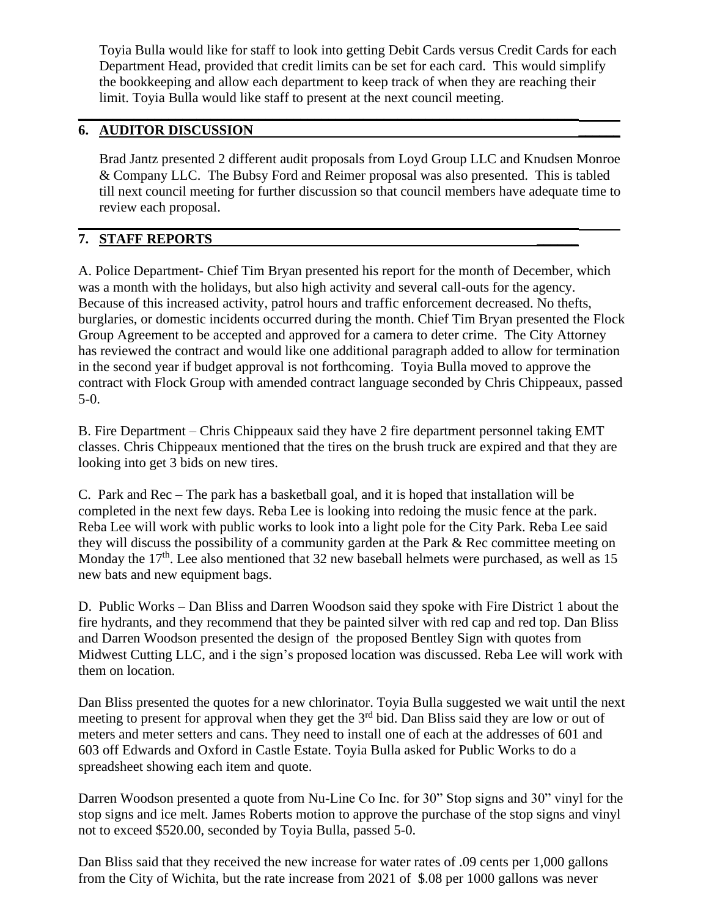Toyia Bulla would like for staff to look into getting Debit Cards versus Credit Cards for each Department Head, provided that credit limits can be set for each card. This would simplify the bookkeeping and allow each department to keep track of when they are reaching their limit. Toyia Bulla would like staff to present at the next council meeting.

 $\mathcal{L}_\mathcal{L} = \mathcal{L}_\mathcal{L} - \mathcal{L}_\mathcal{L}$ 

# **6. AUDITOR DISCUSSION \_\_\_\_\_\_**

Brad Jantz presented 2 different audit proposals from Loyd Group LLC and Knudsen Monroe & Company LLC. The Bubsy Ford and Reimer proposal was also presented. This is tabled till next council meeting for further discussion so that council members have adequate time to review each proposal.

## $\mathcal{L}_\mathcal{L} = \mathcal{L}_\mathcal{L} - \mathcal{L}_\mathcal{L}$ **7. STAFF REPORTS \_\_\_\_\_\_**

A. Police Department- Chief Tim Bryan presented his report for the month of December, which was a month with the holidays, but also high activity and several call-outs for the agency. Because of this increased activity, patrol hours and traffic enforcement decreased. No thefts, burglaries, or domestic incidents occurred during the month. Chief Tim Bryan presented the Flock Group Agreement to be accepted and approved for a camera to deter crime. The City Attorney has reviewed the contract and would like one additional paragraph added to allow for termination in the second year if budget approval is not forthcoming. Toyia Bulla moved to approve the contract with Flock Group with amended contract language seconded by Chris Chippeaux, passed 5-0.

B. Fire Department – Chris Chippeaux said they have 2 fire department personnel taking EMT classes. Chris Chippeaux mentioned that the tires on the brush truck are expired and that they are looking into get 3 bids on new tires.

C. Park and Rec – The park has a basketball goal, and it is hoped that installation will be completed in the next few days. Reba Lee is looking into redoing the music fence at the park. Reba Lee will work with public works to look into a light pole for the City Park. Reba Lee said they will discuss the possibility of a community garden at the Park & Rec committee meeting on Monday the  $17<sup>th</sup>$ . Lee also mentioned that 32 new baseball helmets were purchased, as well as 15 new bats and new equipment bags.

D. Public Works – Dan Bliss and Darren Woodson said they spoke with Fire District 1 about the fire hydrants, and they recommend that they be painted silver with red cap and red top. Dan Bliss and Darren Woodson presented the design of the proposed Bentley Sign with quotes from Midwest Cutting LLC, and i the sign's proposed location was discussed. Reba Lee will work with them on location.

Dan Bliss presented the quotes for a new chlorinator. Toyia Bulla suggested we wait until the next meeting to present for approval when they get the  $3<sup>rd</sup>$  bid. Dan Bliss said they are low or out of meters and meter setters and cans. They need to install one of each at the addresses of 601 and 603 off Edwards and Oxford in Castle Estate. Toyia Bulla asked for Public Works to do a spreadsheet showing each item and quote.

Darren Woodson presented a quote from Nu-Line Co Inc. for 30" Stop signs and 30" vinyl for the stop signs and ice melt. James Roberts motion to approve the purchase of the stop signs and vinyl not to exceed \$520.00, seconded by Toyia Bulla, passed 5-0.

Dan Bliss said that they received the new increase for water rates of .09 cents per 1,000 gallons from the City of Wichita, but the rate increase from 2021 of \$.08 per 1000 gallons was never